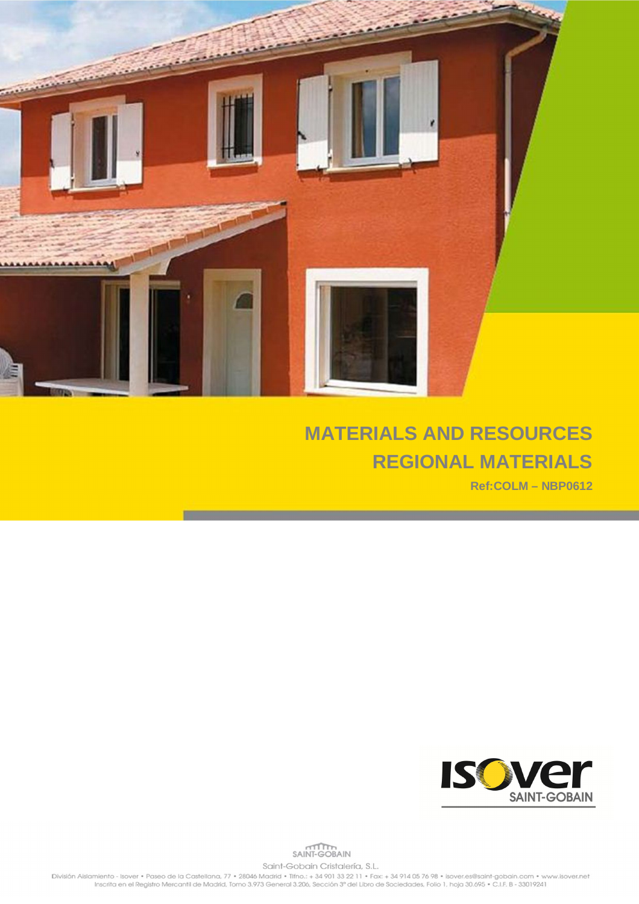

## **MATERIALS AND RESOURCES REGIONAL MATERIALS**

**Ref:COLM – NBP0612**



SAINT-GOBAIN Saint-Gobain Cristalería, S.L.

División Alslamiento - Isover • Paseo de la Castellana, 77 • 28046 Madrid • Tifno.: + 34 901 33 22 11 • Fax: + 34 914 05 76 98 • Isover.es@saint-gobain.com • www.isover.net<br>Inscrita en el Registro Mercantil de Madrid, Tomo